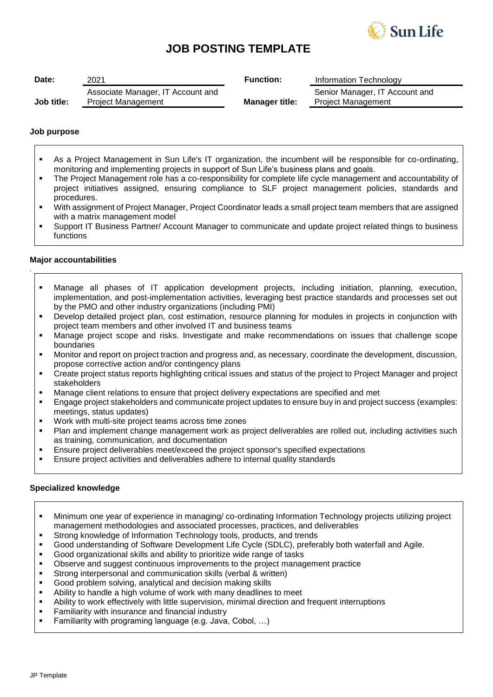

# **JOB POSTING TEMPLATE**

| Date:      | 2021                                                           | <b>Function:</b>      | Information Technology                                      |
|------------|----------------------------------------------------------------|-----------------------|-------------------------------------------------------------|
| Job title: | Associate Manager, IT Account and<br><b>Project Management</b> | <b>Manager title:</b> | Senior Manager, IT Account and<br><b>Project Management</b> |

## **Job purpose**

- As a Project Management in Sun Life's IT organization, the incumbent will be responsible for co-ordinating, monitoring and implementing projects in support of Sun Life's business plans and goals.
- The Project Management role has a co-responsibility for complete life cycle management and accountability of project initiatives assigned, ensuring compliance to SLF project management policies, standards and procedures.
- With assignment of Project Manager, Project Coordinator leads a small project team members that are assigned with a matrix management model
- Support IT Business Partner/ Account Manager to communicate and update project related things to business functions

# **Major accountabilities**

*.*

- Manage all phases of IT application development projects, including initiation, planning, execution, implementation, and post-implementation activities, leveraging best practice standards and processes set out by the PMO and other industry organizations (including PMI)
- Develop detailed project plan, cost estimation, resource planning for modules in projects in conjunction with project team members and other involved IT and business teams
- Manage project scope and risks. Investigate and make recommendations on issues that challenge scope boundaries
- Monitor and report on project traction and progress and, as necessary, coordinate the development, discussion, propose corrective action and/or contingency plans
- Create project status reports highlighting critical issues and status of the project to Project Manager and project stakeholders
- Manage client relations to ensure that project delivery expectations are specified and met
- Engage project stakeholders and communicate project updates to ensure buy in and project success (examples: meetings, status updates)
- Work with multi-site project teams across time zones
- Plan and implement change management work as project deliverables are rolled out, including activities such as training, communication, and documentation
- Ensure project deliverables meet/exceed the project sponsor's specified expectations
- Ensure project activities and deliverables adhere to internal quality standards

## **Specialized knowledge**

- Minimum one year of experience in managing/ co-ordinating Information Technology projects utilizing project management methodologies and associated processes, practices, and deliverables
- **Strong knowledge of Information Technology tools, products, and trends**
- Good understanding of Software Development Life Cycle (SDLC), preferably both waterfall and Agile.
- Good organizational skills and ability to prioritize wide range of tasks
- Observe and suggest continuous improvements to the project management practice
- Strong interpersonal and communication skills (verbal & written)
- Good problem solving, analytical and decision making skills
- Ability to handle a high volume of work with many deadlines to meet
- Ability to work effectively with little supervision, minimal direction and frequent interruptions
- Familiarity with insurance and financial industry
- Familiarity with programing language (e.g. Java, Cobol, …)